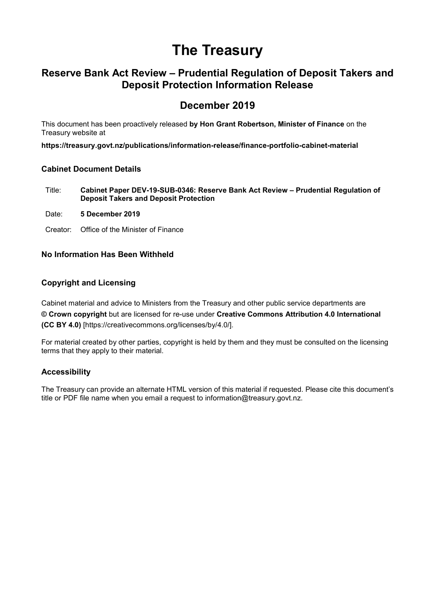# **The Treasury**

# **Reserve Bank Act Review – Prudential Regulation of Deposit Takers and Deposit Protection Information Release**

# **December 2019**

This document has been proactively released **by Hon Grant Robertson, Minister of Finance** on the Treasury website at

**https://treasury.govt.nz/publications/information-release/finance-portfolio-cabinet-material**

#### **Cabinet Document Details**

- Title: **Cabinet Paper DEV-19-SUB-0346: Reserve Bank Act Review Prudential Regulation of Deposit Takers and Deposit Protection**
- Date: **5 December 2019**
- Creator: Office of the Minister of Finance

#### **No Information Has Been Withheld**

#### **Copyright and Licensing**

Cabinet material and advice to Ministers from the Treasury and other public service departments are **© Crown copyright** but are licensed for re-use under **Creative Commons Attribution 4.0 International (CC BY 4.0)** [https://creativecommons.org/licenses/by/4.0/].

For material created by other parties, copyright is held by them and they must be consulted on the licensing terms that they apply to their material.

#### **Accessibility**

The Treasury can provide an alternate HTML version of this material if requested. Please cite this document's title or PDF file name when you email a request to information@treasury.govt.nz.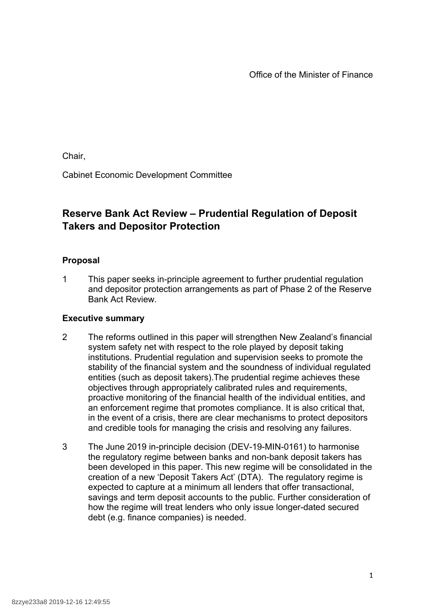Office of the Minister of Finance

Chair,

Cabinet Economic Development Committee

# **Reserve Bank Act Review – Prudential Regulation of Deposit Takers and Depositor Protection**

# **Proposal**

1 This paper seeks in-principle agreement to further prudential regulation and depositor protection arrangements as part of Phase 2 of the Reserve Bank Act Review.

# **Executive summary**

- 2 The reforms outlined in this paper will strengthen New Zealand's financial system safety net with respect to the role played by deposit taking institutions. Prudential regulation and supervision seeks to promote the stability of the financial system and the soundness of individual regulated entities (such as deposit takers).The prudential regime achieves these objectives through appropriately calibrated rules and requirements, proactive monitoring of the financial health of the individual entities, and an enforcement regime that promotes compliance. It is also critical that, in the event of a crisis, there are clear mechanisms to protect depositors and credible tools for managing the crisis and resolving any failures.
- 3 The June 2019 in-principle decision (DEV-19-MIN-0161) to harmonise the regulatory regime between banks and non-bank deposit takers has been developed in this paper. This new regime will be consolidated in the creation of a new 'Deposit Takers Act' (DTA). The regulatory regime is expected to capture at a minimum all lenders that offer transactional, savings and term deposit accounts to the public. Further consideration of how the regime will treat lenders who only issue longer-dated secured debt (e.g. finance companies) is needed.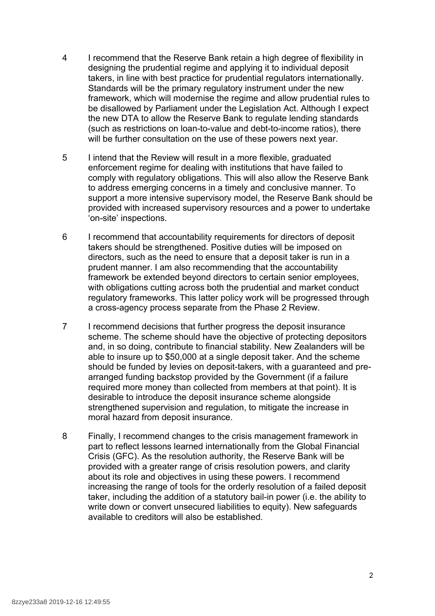- 4 I recommend that the Reserve Bank retain a high degree of flexibility in designing the prudential regime and applying it to individual deposit takers, in line with best practice for prudential regulators internationally. Standards will be the primary regulatory instrument under the new framework, which will modernise the regime and allow prudential rules to be disallowed by Parliament under the Legislation Act. Although I expect the new DTA to allow the Reserve Bank to regulate lending standards (such as restrictions on loan-to-value and debt-to-income ratios), there will be further consultation on the use of these powers next year.
- 5 I intend that the Review will result in a more flexible, graduated enforcement regime for dealing with institutions that have failed to comply with regulatory obligations. This will also allow the Reserve Bank to address emerging concerns in a timely and conclusive manner. To support a more intensive supervisory model, the Reserve Bank should be provided with increased supervisory resources and a power to undertake 'on-site' inspections.
- 6 I recommend that accountability requirements for directors of deposit takers should be strengthened. Positive duties will be imposed on directors, such as the need to ensure that a deposit taker is run in a prudent manner. I am also recommending that the accountability framework be extended beyond directors to certain senior employees, with obligations cutting across both the prudential and market conduct regulatory frameworks. This latter policy work will be progressed through a cross-agency process separate from the Phase 2 Review.
- 7 I recommend decisions that further progress the deposit insurance scheme. The scheme should have the objective of protecting depositors and, in so doing, contribute to financial stability. New Zealanders will be able to insure up to \$50,000 at a single deposit taker. And the scheme should be funded by levies on deposit-takers, with a guaranteed and prearranged funding backstop provided by the Government (if a failure required more money than collected from members at that point). It is desirable to introduce the deposit insurance scheme alongside strengthened supervision and regulation, to mitigate the increase in moral hazard from deposit insurance.
- 8 Finally, I recommend changes to the crisis management framework in part to reflect lessons learned internationally from the Global Financial Crisis (GFC). As the resolution authority, the Reserve Bank will be provided with a greater range of crisis resolution powers, and clarity about its role and objectives in using these powers. I recommend increasing the range of tools for the orderly resolution of a failed deposit taker, including the addition of a statutory bail-in power (i.e. the ability to write down or convert unsecured liabilities to equity). New safeguards available to creditors will also be established.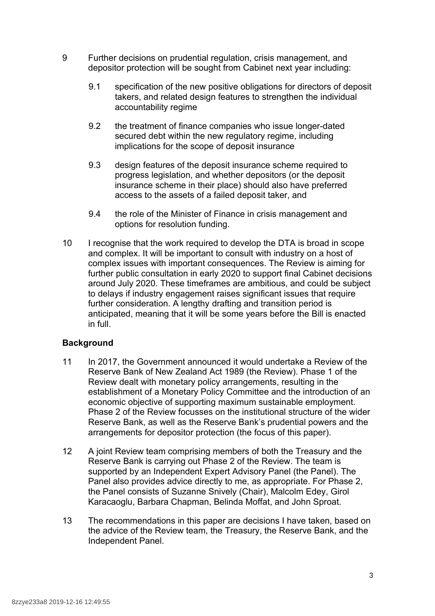- 9 Further decisions on prudential regulation, crisis management, and depositor protection will be sought from Cabinet next year including:
	- 9.1 specification of the new positive obligations for directors of deposit takers, and related design features to strengthen the individual accountability regime
	- 9.2 the treatment of finance companies who issue longer-dated secured debt within the new regulatory regime, including implications for the scope of deposit insurance
	- 9.3 design features of the deposit insurance scheme required to progress legislation, and whether depositors (or the deposit insurance scheme in their place) should also have preferred access to the assets of a failed deposit taker, and
	- 9.4 the role of the Minister of Finance in crisis management and options for resolution funding.
- 10 I recognise that the work required to develop the DTA is broad in scope and complex. It will be important to consult with industry on a host of complex issues with important consequences. The Review is aiming for further public consultation in early 2020 to support final Cabinet decisions around July 2020. These timeframes are ambitious, and could be subject to delays if industry engagement raises significant issues that require further consideration. A lengthy drafting and transition period is anticipated, meaning that it will be some years before the Bill is enacted in full.

# **Background**

- 11 In 2017, the Government announced it would undertake a Review of the Reserve Bank of New Zealand Act 1989 (the Review). Phase 1 of the Review dealt with monetary policy arrangements, resulting in the establishment of a Monetary Policy Committee and the introduction of an economic objective of supporting maximum sustainable employment. Phase 2 of the Review focusses on the institutional structure of the wider Reserve Bank, as well as the Reserve Bank's prudential powers and the arrangements for depositor protection (the focus of this paper).
- 12 A joint Review team comprising members of both the Treasury and the Reserve Bank is carrying out Phase 2 of the Review. The team is supported by an Independent Expert Advisory Panel (the Panel). The Panel also provides advice directly to me, as appropriate. For Phase 2, the Panel consists of Suzanne Snively (Chair), Malcolm Edey, Girol Karacaoglu, Barbara Chapman, Belinda Moffat, and John Sproat.
- 13 The recommendations in this paper are decisions I have taken, based on the advice of the Review team, the Treasury, the Reserve Bank, and the Independent Panel.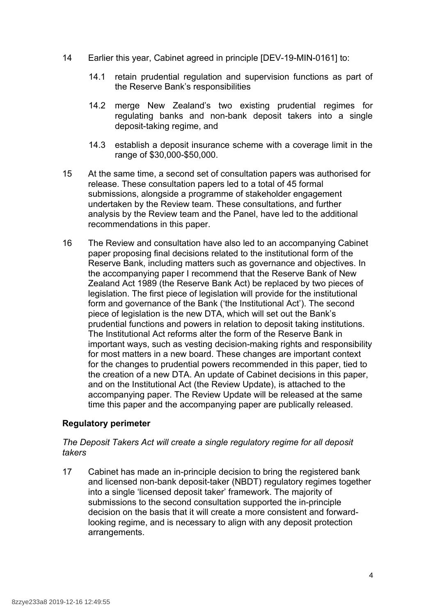- 14 Earlier this year, Cabinet agreed in principle [DEV-19-MIN-0161] to:
	- 14.1 retain prudential regulation and supervision functions as part of the Reserve Bank's responsibilities
	- 14.2 merge New Zealand's two existing prudential regimes for regulating banks and non-bank deposit takers into a single deposit-taking regime, and
	- 14.3 establish a deposit insurance scheme with a coverage limit in the range of \$30,000-\$50,000.
- 15 At the same time, a second set of consultation papers was authorised for release. These consultation papers led to a total of 45 formal submissions, alongside a programme of stakeholder engagement undertaken by the Review team. These consultations, and further analysis by the Review team and the Panel, have led to the additional recommendations in this paper.
- 16 The Review and consultation have also led to an accompanying Cabinet paper proposing final decisions related to the institutional form of the Reserve Bank, including matters such as governance and objectives. In the accompanying paper I recommend that the Reserve Bank of New Zealand Act 1989 (the Reserve Bank Act) be replaced by two pieces of legislation. The first piece of legislation will provide for the institutional form and governance of the Bank ('the Institutional Act'). The second piece of legislation is the new DTA, which will set out the Bank's prudential functions and powers in relation to deposit taking institutions. The Institutional Act reforms alter the form of the Reserve Bank in important ways, such as vesting decision-making rights and responsibility for most matters in a new board. These changes are important context for the changes to prudential powers recommended in this paper, tied to the creation of a new DTA. An update of Cabinet decisions in this paper, and on the Institutional Act (the Review Update), is attached to the accompanying paper. The Review Update will be released at the same time this paper and the accompanying paper are publically released.

# **Regulatory perimeter**

# *The Deposit Takers Act will create a single regulatory regime for all deposit takers*

17 Cabinet has made an in-principle decision to bring the registered bank and licensed non-bank deposit-taker (NBDT) regulatory regimes together into a single 'licensed deposit taker' framework. The majority of submissions to the second consultation supported the in-principle decision on the basis that it will create a more consistent and forwardlooking regime, and is necessary to align with any deposit protection arrangements.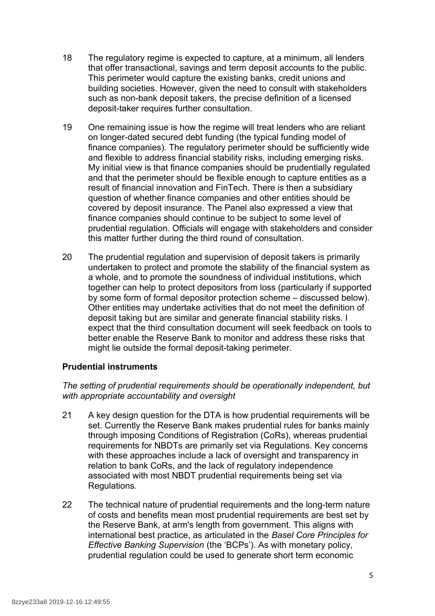- 18 The regulatory regime is expected to capture, at a minimum, all lenders that offer transactional, savings and term deposit accounts to the public. This perimeter would capture the existing banks, credit unions and building societies. However, given the need to consult with stakeholders such as non-bank deposit takers, the precise definition of a licensed deposit-taker requires further consultation.
- 19 One remaining issue is how the regime will treat lenders who are reliant on longer-dated secured debt funding (the typical funding model of finance companies). The regulatory perimeter should be sufficiently wide and flexible to address financial stability risks, including emerging risks. My initial view is that finance companies should be prudentially regulated and that the perimeter should be flexible enough to capture entities as a result of financial innovation and FinTech. There is then a subsidiary question of whether finance companies and other entities should be covered by deposit insurance. The Panel also expressed a view that finance companies should continue to be subject to some level of prudential regulation. Officials will engage with stakeholders and consider this matter further during the third round of consultation.
- 20 The prudential regulation and supervision of deposit takers is primarily undertaken to protect and promote the stability of the financial system as a whole, and to promote the soundness of individual institutions, which together can help to protect depositors from loss (particularly if supported by some form of formal depositor protection scheme – discussed below). Other entities may undertake activities that do not meet the definition of deposit taking but are similar and generate financial stability risks. I expect that the third consultation document will seek feedback on tools to better enable the Reserve Bank to monitor and address these risks that might lie outside the formal deposit-taking perimeter.

# **Prudential instruments**

# *The setting of prudential requirements should be operationally independent, but with appropriate accountability and oversight*

- 21 A key design question for the DTA is how prudential requirements will be set. Currently the Reserve Bank makes prudential rules for banks mainly through imposing Conditions of Registration (CoRs), whereas prudential requirements for NBDTs are primarily set via Regulations. Key concerns with these approaches include a lack of oversight and transparency in relation to bank CoRs, and the lack of regulatory independence associated with most NBDT prudential requirements being set via Regulations.
- 22 The technical nature of prudential requirements and the long-term nature of costs and benefits mean most prudential requirements are best set by the Reserve Bank, at arm's length from government. This aligns with international best practice, as articulated in the *Basel Core Principles for Effective Banking Supervision* (the 'BCPs'). As with monetary policy, prudential regulation could be used to generate short term economic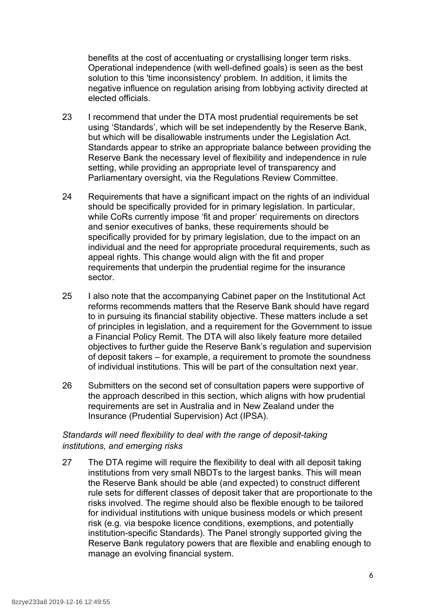benefits at the cost of accentuating or crystallising longer term risks. Operational independence (with well-defined goals) is seen as the best solution to this 'time inconsistency' problem. In addition, it limits the negative influence on regulation arising from lobbying activity directed at elected officials.

- 23 I recommend that under the DTA most prudential requirements be set using 'Standards', which will be set independently by the Reserve Bank, but which will be disallowable instruments under the Legislation Act. Standards appear to strike an appropriate balance between providing the Reserve Bank the necessary level of flexibility and independence in rule setting, while providing an appropriate level of transparency and Parliamentary oversight, via the Regulations Review Committee.
- 24 Requirements that have a significant impact on the rights of an individual should be specifically provided for in primary legislation. In particular, while CoRs currently impose 'fit and proper' requirements on directors and senior executives of banks, these requirements should be specifically provided for by primary legislation, due to the impact on an individual and the need for appropriate procedural requirements, such as appeal rights. This change would align with the fit and proper requirements that underpin the prudential regime for the insurance sector.
- 25 I also note that the accompanying Cabinet paper on the Institutional Act reforms recommends matters that the Reserve Bank should have regard to in pursuing its financial stability objective. These matters include a set of principles in legislation, and a requirement for the Government to issue a Financial Policy Remit. The DTA will also likely feature more detailed objectives to further guide the Reserve Bank's regulation and supervision of deposit takers – for example, a requirement to promote the soundness of individual institutions. This will be part of the consultation next year.
- 26 Submitters on the second set of consultation papers were supportive of the approach described in this section, which aligns with how prudential requirements are set in Australia and in New Zealand under the Insurance (Prudential Supervision) Act (IPSA).

# *Standards will need flexibility to deal with the range of deposit-taking institutions, and emerging risks*

27 The DTA regime will require the flexibility to deal with all deposit taking institutions from very small NBDTs to the largest banks. This will mean the Reserve Bank should be able (and expected) to construct different rule sets for different classes of deposit taker that are proportionate to the risks involved. The regime should also be flexible enough to be tailored for individual institutions with unique business models or which present risk (e.g. via bespoke licence conditions, exemptions, and potentially institution-specific Standards). The Panel strongly supported giving the Reserve Bank regulatory powers that are flexible and enabling enough to manage an evolving financial system.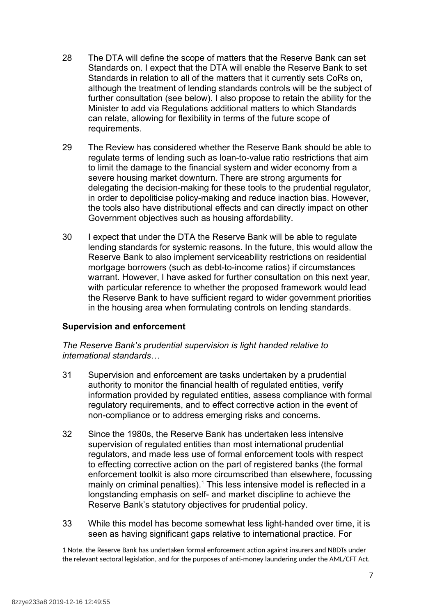- 28 The DTA will define the scope of matters that the Reserve Bank can set Standards on. I expect that the DTA will enable the Reserve Bank to set Standards in relation to all of the matters that it currently sets CoRs on, although the treatment of lending standards controls will be the subject of further consultation (see below). I also propose to retain the ability for the Minister to add via Regulations additional matters to which Standards can relate, allowing for flexibility in terms of the future scope of requirements.
- 29 The Review has considered whether the Reserve Bank should be able to regulate terms of lending such as loan-to-value ratio restrictions that aim to limit the damage to the financial system and wider economy from a severe housing market downturn. There are strong arguments for delegating the decision-making for these tools to the prudential regulator, in order to depoliticise policy-making and reduce inaction bias. However, the tools also have distributional effects and can directly impact on other Government objectives such as housing affordability.
- 30 I expect that under the DTA the Reserve Bank will be able to regulate lending standards for systemic reasons. In the future, this would allow the Reserve Bank to also implement serviceability restrictions on residential mortgage borrowers (such as debt-to-income ratios) if circumstances warrant. However, I have asked for further consultation on this next year, with particular reference to whether the proposed framework would lead the Reserve Bank to have sufficient regard to wider government priorities in the housing area when formulating controls on lending standards.

# **Supervision and enforcement**

#### *The Reserve Bank's prudential supervision is light handed relative to international standards…*

- 31 Supervision and enforcement are tasks undertaken by a prudential authority to monitor the financial health of regulated entities, verify information provided by regulated entities, assess compliance with formal regulatory requirements, and to effect corrective action in the event of non-compliance or to address emerging risks and concerns.
- 32 Since the 1980s, the Reserve Bank has undertaken less intensive supervision of regulated entities than most international prudential regulators, and made less use of formal enforcement tools with respect to effecting corrective action on the part of registered banks (the formal enforcement toolkit is also more circumscribed than elsewhere, focussing mainly on criminal penalties). $<sup>1</sup>$  $<sup>1</sup>$  $<sup>1</sup>$  This less intensive model is reflected in a</sup> longstanding emphasis on self- and market discipline to achieve the Reserve Bank's statutory objectives for prudential policy.
- 33 While this model has become somewhat less light-handed over time, it is seen as having significant gaps relative to international practice. For

<span id="page-7-0"></span>1 Note, the Reserve Bank has undertaken formal enforcement action against insurers and NBDTs under the relevant sectoral legislation, and for the purposes of anti-money laundering under the AML/CFT Act.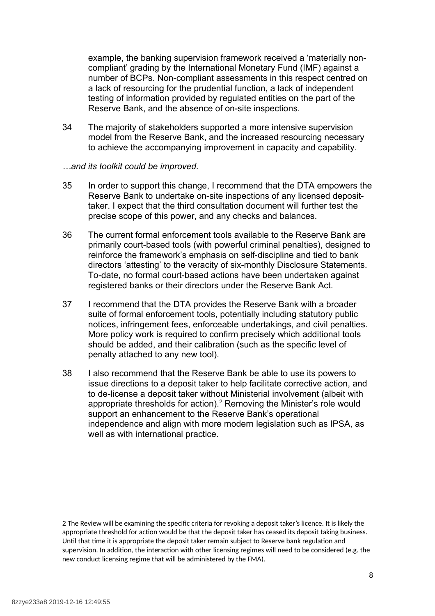example, the banking supervision framework received a 'materially noncompliant' grading by the International Monetary Fund (IMF) against a number of BCPs. Non-compliant assessments in this respect centred on a lack of resourcing for the prudential function, a lack of independent testing of information provided by regulated entities on the part of the Reserve Bank, and the absence of on-site inspections.

34 The majority of stakeholders supported a more intensive supervision model from the Reserve Bank, and the increased resourcing necessary to achieve the accompanying improvement in capacity and capability.

#### *…and its toolkit could be improved.*

- 35 In order to support this change, I recommend that the DTA empowers the Reserve Bank to undertake on-site inspections of any licensed deposittaker. I expect that the third consultation document will further test the precise scope of this power, and any checks and balances.
- 36 The current formal enforcement tools available to the Reserve Bank are primarily court-based tools (with powerful criminal penalties), designed to reinforce the framework's emphasis on self-discipline and tied to bank directors 'attesting' to the veracity of six-monthly Disclosure Statements. To-date, no formal court-based actions have been undertaken against registered banks or their directors under the Reserve Bank Act.
- 37 I recommend that the DTA provides the Reserve Bank with a broader suite of formal enforcement tools, potentially including statutory public notices, infringement fees, enforceable undertakings, and civil penalties. More policy work is required to confirm precisely which additional tools should be added, and their calibration (such as the specific level of penalty attached to any new tool).
- 38 I also recommend that the Reserve Bank be able to use its powers to issue directions to a deposit taker to help facilitate corrective action, and to de-license a deposit taker without Ministerial involvement (albeit with appropriate thresholds for action).<sup>[2](#page-8-0)</sup> Removing the Minister's role would support an enhancement to the Reserve Bank's operational independence and align with more modern legislation such as IPSA, as well as with international practice.

<span id="page-8-0"></span>2 The Review will be examining the specific criteria for revoking a deposit taker's licence. It is likely the appropriate threshold for action would be that the deposit taker has ceased its deposit taking business. Until that time it is appropriate the deposit taker remain subject to Reserve bank regulation and supervision. In addition, the interaction with other licensing regimes will need to be considered (e.g. the new conduct licensing regime that will be administered by the FMA).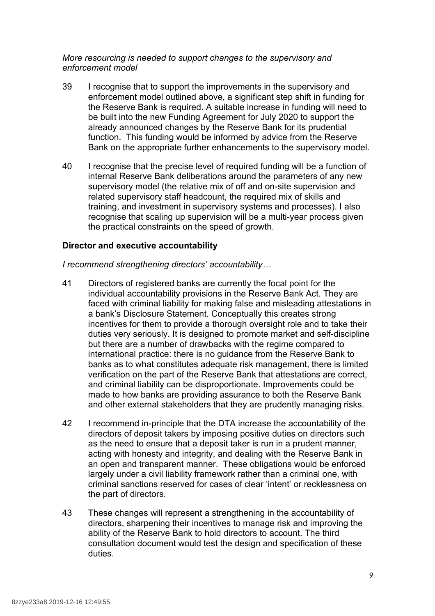#### *More resourcing is needed to support changes to the supervisory and enforcement model*

- 39 I recognise that to support the improvements in the supervisory and enforcement model outlined above, a significant step shift in funding for the Reserve Bank is required. A suitable increase in funding will need to be built into the new Funding Agreement for July 2020 to support the already announced changes by the Reserve Bank for its prudential function. This funding would be informed by advice from the Reserve Bank on the appropriate further enhancements to the supervisory model.
- 40 I recognise that the precise level of required funding will be a function of internal Reserve Bank deliberations around the parameters of any new supervisory model (the relative mix of off and on-site supervision and related supervisory staff headcount, the required mix of skills and training, and investment in supervisory systems and processes). I also recognise that scaling up supervision will be a multi-year process given the practical constraints on the speed of growth.

#### **Director and executive accountability**

*I recommend strengthening directors' accountability…*

- 41 Directors of registered banks are currently the focal point for the individual accountability provisions in the Reserve Bank Act. They are faced with criminal liability for making false and misleading attestations in a bank's Disclosure Statement. Conceptually this creates strong incentives for them to provide a thorough oversight role and to take their duties very seriously. It is designed to promote market and self-discipline but there are a number of drawbacks with the regime compared to international practice: there is no guidance from the Reserve Bank to banks as to what constitutes adequate risk management, there is limited verification on the part of the Reserve Bank that attestations are correct, and criminal liability can be disproportionate. Improvements could be made to how banks are providing assurance to both the Reserve Bank and other external stakeholders that they are prudently managing risks.
- 42 I recommend in-principle that the DTA increase the accountability of the directors of deposit takers by imposing positive duties on directors such as the need to ensure that a deposit taker is run in a prudent manner, acting with honesty and integrity, and dealing with the Reserve Bank in an open and transparent manner. These obligations would be enforced largely under a civil liability framework rather than a criminal one, with criminal sanctions reserved for cases of clear 'intent' or recklessness on the part of directors.
- 43 These changes will represent a strengthening in the accountability of directors, sharpening their incentives to manage risk and improving the ability of the Reserve Bank to hold directors to account. The third consultation document would test the design and specification of these duties.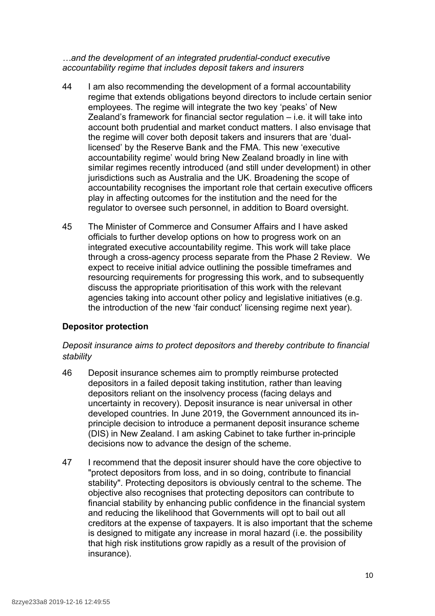*…and the development of an integrated prudential-conduct executive accountability regime that includes deposit takers and insurers*

- 44 I am also recommending the development of a formal accountability regime that extends obligations beyond directors to include certain senior employees. The regime will integrate the two key 'peaks' of New Zealand's framework for financial sector regulation – i.e. it will take into account both prudential and market conduct matters. I also envisage that the regime will cover both deposit takers and insurers that are 'duallicensed' by the Reserve Bank and the FMA. This new 'executive accountability regime' would bring New Zealand broadly in line with similar regimes recently introduced (and still under development) in other jurisdictions such as Australia and the UK. Broadening the scope of accountability recognises the important role that certain executive officers play in affecting outcomes for the institution and the need for the regulator to oversee such personnel, in addition to Board oversight.
- 45 The Minister of Commerce and Consumer Affairs and I have asked officials to further develop options on how to progress work on an integrated executive accountability regime. This work will take place through a cross-agency process separate from the Phase 2 Review. We expect to receive initial advice outlining the possible timeframes and resourcing requirements for progressing this work, and to subsequently discuss the appropriate prioritisation of this work with the relevant agencies taking into account other policy and legislative initiatives (e.g. the introduction of the new 'fair conduct' licensing regime next year).

# **Depositor protection**

#### *Deposit insurance aims to protect depositors and thereby contribute to financial stability*

- 46 Deposit insurance schemes aim to promptly reimburse protected depositors in a failed deposit taking institution, rather than leaving depositors reliant on the insolvency process (facing delays and uncertainty in recovery). Deposit insurance is near universal in other developed countries. In June 2019, the Government announced its inprinciple decision to introduce a permanent deposit insurance scheme (DIS) in New Zealand. I am asking Cabinet to take further in-principle decisions now to advance the design of the scheme.
- 47 I recommend that the deposit insurer should have the core objective to "protect depositors from loss, and in so doing, contribute to financial stability". Protecting depositors is obviously central to the scheme. The objective also recognises that protecting depositors can contribute to financial stability by enhancing public confidence in the financial system and reducing the likelihood that Governments will opt to bail out all creditors at the expense of taxpayers. It is also important that the scheme is designed to mitigate any increase in moral hazard (i.e. the possibility that high risk institutions grow rapidly as a result of the provision of insurance).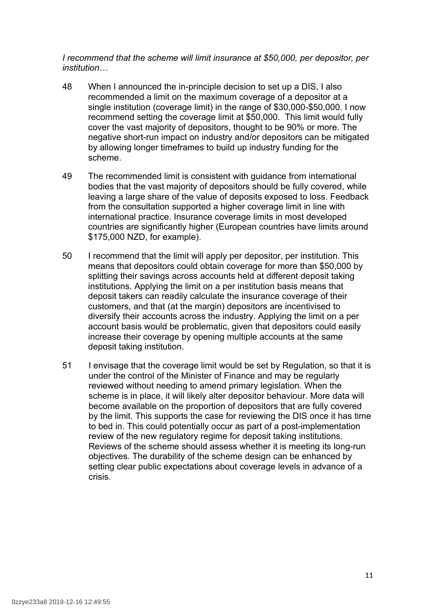*I recommend that the scheme will limit insurance at \$50,000, per depositor, per institution…*

- 48 When I announced the in-principle decision to set up a DIS, I also recommended a limit on the maximum coverage of a depositor at a single institution (coverage limit) in the range of \$30,000-\$50,000. I now recommend setting the coverage limit at \$50,000. This limit would fully cover the vast majority of depositors, thought to be 90% or more. The negative short-run impact on industry and/or depositors can be mitigated by allowing longer timeframes to build up industry funding for the scheme.
- 49 The recommended limit is consistent with guidance from international bodies that the vast majority of depositors should be fully covered, while leaving a large share of the value of deposits exposed to loss. Feedback from the consultation supported a higher coverage limit in line with international practice. Insurance coverage limits in most developed countries are significantly higher (European countries have limits around \$175,000 NZD, for example).
- 50 I recommend that the limit will apply per depositor, per institution. This means that depositors could obtain coverage for more than \$50,000 by splitting their savings across accounts held at different deposit taking institutions. Applying the limit on a per institution basis means that deposit takers can readily calculate the insurance coverage of their customers, and that (at the margin) depositors are incentivised to diversify their accounts across the industry. Applying the limit on a per account basis would be problematic, given that depositors could easily increase their coverage by opening multiple accounts at the same deposit taking institution.
- 51 I envisage that the coverage limit would be set by Regulation, so that it is under the control of the Minister of Finance and may be regularly reviewed without needing to amend primary legislation. When the scheme is in place, it will likely alter depositor behaviour. More data will become available on the proportion of depositors that are fully covered by the limit. This supports the case for reviewing the DIS once it has time to bed in. This could potentially occur as part of a post-implementation review of the new regulatory regime for deposit taking institutions. Reviews of the scheme should assess whether it is meeting its long-run objectives. The durability of the scheme design can be enhanced by setting clear public expectations about coverage levels in advance of a crisis.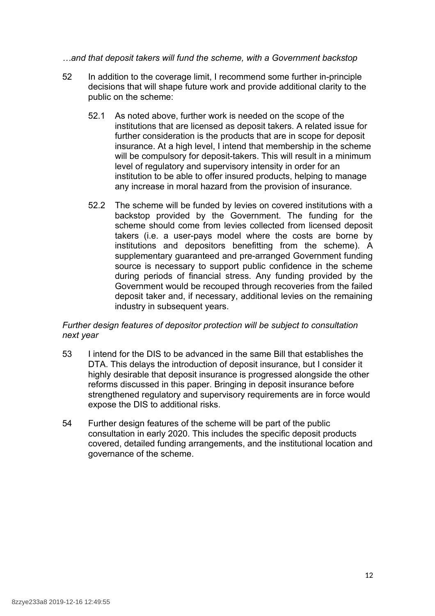#### *…and that deposit takers will fund the scheme, with a Government backstop*

- 52 In addition to the coverage limit, I recommend some further in-principle decisions that will shape future work and provide additional clarity to the public on the scheme:
	- 52.1 As noted above, further work is needed on the scope of the institutions that are licensed as deposit takers. A related issue for further consideration is the products that are in scope for deposit insurance. At a high level, I intend that membership in the scheme will be compulsory for deposit-takers. This will result in a minimum level of regulatory and supervisory intensity in order for an institution to be able to offer insured products, helping to manage any increase in moral hazard from the provision of insurance.
	- 52.2 The scheme will be funded by levies on covered institutions with a backstop provided by the Government. The funding for the scheme should come from levies collected from licensed deposit takers (i.e. a user-pays model where the costs are borne by institutions and depositors benefitting from the scheme). A supplementary guaranteed and pre-arranged Government funding source is necessary to support public confidence in the scheme during periods of financial stress. Any funding provided by the Government would be recouped through recoveries from the failed deposit taker and, if necessary, additional levies on the remaining industry in subsequent years.

# *Further design features of depositor protection will be subject to consultation next year*

- 53 I intend for the DIS to be advanced in the same Bill that establishes the DTA. This delays the introduction of deposit insurance, but I consider it highly desirable that deposit insurance is progressed alongside the other reforms discussed in this paper. Bringing in deposit insurance before strengthened regulatory and supervisory requirements are in force would expose the DIS to additional risks.
- 54 Further design features of the scheme will be part of the public consultation in early 2020. This includes the specific deposit products covered, detailed funding arrangements, and the institutional location and governance of the scheme.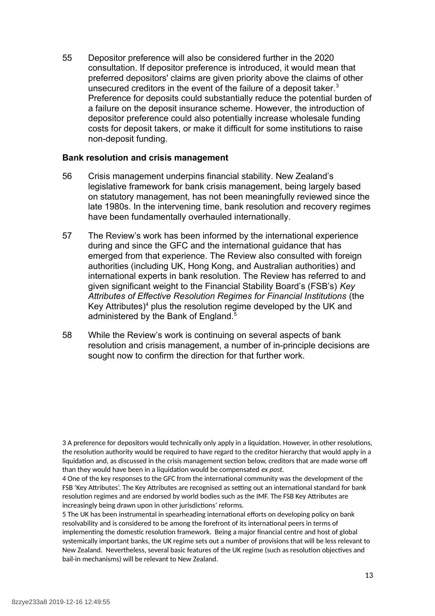55 Depositor preference will also be considered further in the 2020 consultation. If depositor preference is introduced, it would mean that preferred depositors' claims are given priority above the claims of other unsecured creditors in the event of the failure of a deposit taker.<sup>[3](#page-13-0)</sup> Preference for deposits could substantially reduce the potential burden of a failure on the deposit insurance scheme. However, the introduction of depositor preference could also potentially increase wholesale funding costs for deposit takers, or make it difficult for some institutions to raise non-deposit funding.

#### **Bank resolution and crisis management**

- 56 Crisis management underpins financial stability. New Zealand's legislative framework for bank crisis management, being largely based on statutory management, has not been meaningfully reviewed since the late 1980s. In the intervening time, bank resolution and recovery regimes have been fundamentally overhauled internationally.
- 57 The Review's work has been informed by the international experience during and since the GFC and the international guidance that has emerged from that experience. The Review also consulted with foreign authorities (including UK, Hong Kong, and Australian authorities) and international experts in bank resolution. The Review has referred to and given significant weight to the Financial Stability Board's (FSB's) *Key Attributes of Effective Resolution Regimes for Financial Institutions* (the Key Attributes) $4$  plus the resolution regime developed by the UK and administered by the Bank of England.<sup>[5](#page-13-2)</sup>
- 58 While the Review's work is continuing on several aspects of bank resolution and crisis management, a number of in-principle decisions are sought now to confirm the direction for that further work.

<span id="page-13-0"></span>3 A preference for depositors would technically only apply in a liquidation. However, in other resolutions, the resolution authority would be required to have regard to the creditor hierarchy that would apply in a liquidation and, as discussed in the crisis management section below, creditors that are made worse off than they would have been in a liquidation would be compensated *ex post.*

<span id="page-13-1"></span>4 One of the key responses to the GFC from the international community was the development of the FSB 'Key Attributes'. The Key Attributes are recognised as setting out an international standard for bank resolution regimes and are endorsed by world bodies such as the IMF. The FSB Key Attributes are increasingly being drawn upon in other jurisdictions' reforms.

<span id="page-13-2"></span>5 The UK has been instrumental in spearheading international efforts on developing policy on bank resolvability and is considered to be among the forefront of its international peers in terms of implementing the domestic resolution framework. Being a major financial centre and host of global systemically important banks, the UK regime sets out a number of provisions that will be less relevant to New Zealand. Nevertheless, several basic features of the UK regime (such as resolution objectives and bail-in mechanisms) will be relevant to New Zealand.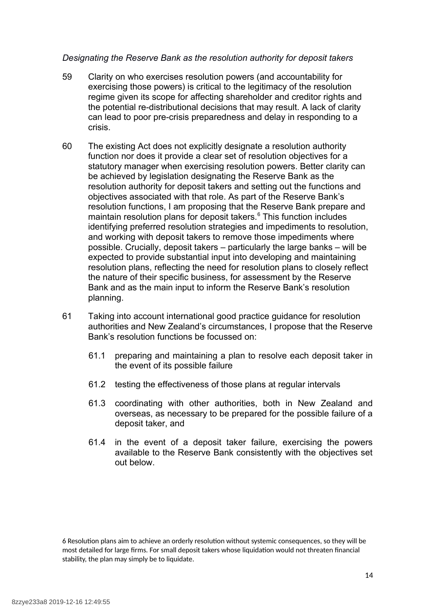#### *Designating the Reserve Bank as the resolution authority for deposit takers*

- 59 Clarity on who exercises resolution powers (and accountability for exercising those powers) is critical to the legitimacy of the resolution regime given its scope for affecting shareholder and creditor rights and the potential re-distributional decisions that may result. A lack of clarity can lead to poor pre-crisis preparedness and delay in responding to a crisis.
- 60 The existing Act does not explicitly designate a resolution authority function nor does it provide a clear set of resolution objectives for a statutory manager when exercising resolution powers. Better clarity can be achieved by legislation designating the Reserve Bank as the resolution authority for deposit takers and setting out the functions and objectives associated with that role. As part of the Reserve Bank's resolution functions, I am proposing that the Reserve Bank prepare and maintain resolution plans for deposit takers.<sup>[6](#page-14-0)</sup> This function includes identifying preferred resolution strategies and impediments to resolution, and working with deposit takers to remove those impediments where possible. Crucially, deposit takers – particularly the large banks – will be expected to provide substantial input into developing and maintaining resolution plans, reflecting the need for resolution plans to closely reflect the nature of their specific business, for assessment by the Reserve Bank and as the main input to inform the Reserve Bank's resolution planning.
- 61 Taking into account international good practice guidance for resolution authorities and New Zealand's circumstances, I propose that the Reserve Bank's resolution functions be focussed on:
	- 61.1 preparing and maintaining a plan to resolve each deposit taker in the event of its possible failure
	- 61.2 testing the effectiveness of those plans at regular intervals
	- 61.3 coordinating with other authorities, both in New Zealand and overseas, as necessary to be prepared for the possible failure of a deposit taker, and
	- 61.4 in the event of a deposit taker failure, exercising the powers available to the Reserve Bank consistently with the objectives set out below.

<span id="page-14-0"></span>6 Resolution plans aim to achieve an orderly resolution without systemic consequences, so they will be most detailed for large firms. For small deposit takers whose liquidation would not threaten financial stability, the plan may simply be to liquidate.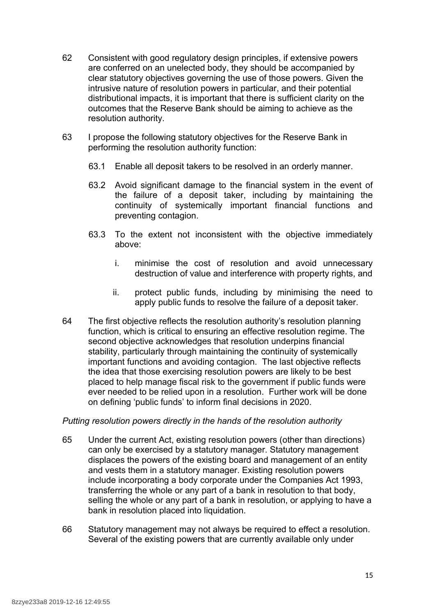- 62 Consistent with good regulatory design principles, if extensive powers are conferred on an unelected body, they should be accompanied by clear statutory objectives governing the use of those powers. Given the intrusive nature of resolution powers in particular, and their potential distributional impacts, it is important that there is sufficient clarity on the outcomes that the Reserve Bank should be aiming to achieve as the resolution authority.
- 63 I propose the following statutory objectives for the Reserve Bank in performing the resolution authority function:
	- 63.1 Enable all deposit takers to be resolved in an orderly manner.
	- 63.2 Avoid significant damage to the financial system in the event of the failure of a deposit taker, including by maintaining the continuity of systemically important financial functions and preventing contagion.
	- 63.3 To the extent not inconsistent with the objective immediately above:
		- i. minimise the cost of resolution and avoid unnecessary destruction of value and interference with property rights, and
		- ii. protect public funds, including by minimising the need to apply public funds to resolve the failure of a deposit taker.
- 64 The first objective reflects the resolution authority's resolution planning function, which is critical to ensuring an effective resolution regime. The second objective acknowledges that resolution underpins financial stability, particularly through maintaining the continuity of systemically important functions and avoiding contagion. The last objective reflects the idea that those exercising resolution powers are likely to be best placed to help manage fiscal risk to the government if public funds were ever needed to be relied upon in a resolution. Further work will be done on defining 'public funds' to inform final decisions in 2020.

# *Putting resolution powers directly in the hands of the resolution authority*

- 65 Under the current Act, existing resolution powers (other than directions) can only be exercised by a statutory manager. Statutory management displaces the powers of the existing board and management of an entity and vests them in a statutory manager. Existing resolution powers include incorporating a body corporate under the Companies Act 1993, transferring the whole or any part of a bank in resolution to that body, selling the whole or any part of a bank in resolution, or applying to have a bank in resolution placed into liquidation.
- 66 Statutory management may not always be required to effect a resolution. Several of the existing powers that are currently available only under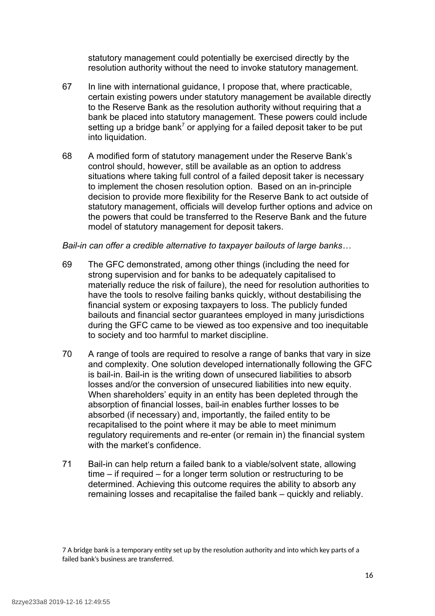statutory management could potentially be exercised directly by the resolution authority without the need to invoke statutory management.

- 67 In line with international guidance, I propose that, where practicable, certain existing powers under statutory management be available directly to the Reserve Bank as the resolution authority without requiring that a bank be placed into statutory management. These powers could include setting up a bridge bank<sup>[7](#page-16-0)</sup> or applying for a failed deposit taker to be put into liquidation.
- 68 A modified form of statutory management under the Reserve Bank's control should, however, still be available as an option to address situations where taking full control of a failed deposit taker is necessary to implement the chosen resolution option. Based on an in-principle decision to provide more flexibility for the Reserve Bank to act outside of statutory management, officials will develop further options and advice on the powers that could be transferred to the Reserve Bank and the future model of statutory management for deposit takers.

#### *Bail-in can offer a credible alternative to taxpayer bailouts of large banks…*

- 69 The GFC demonstrated, among other things (including the need for strong supervision and for banks to be adequately capitalised to materially reduce the risk of failure), the need for resolution authorities to have the tools to resolve failing banks quickly, without destabilising the financial system or exposing taxpayers to loss. The publicly funded bailouts and financial sector guarantees employed in many jurisdictions during the GFC came to be viewed as too expensive and too inequitable to society and too harmful to market discipline.
- 70 A range of tools are required to resolve a range of banks that vary in size and complexity. One solution developed internationally following the GFC is bail-in. Bail-in is the writing down of unsecured liabilities to absorb losses and/or the conversion of unsecured liabilities into new equity. When shareholders' equity in an entity has been depleted through the absorption of financial losses, bail-in enables further losses to be absorbed (if necessary) and, importantly, the failed entity to be recapitalised to the point where it may be able to meet minimum regulatory requirements and re-enter (or remain in) the financial system with the market's confidence.
- 71 Bail-in can help return a failed bank to a viable/solvent state, allowing time – if required – for a longer term solution or restructuring to be determined. Achieving this outcome requires the ability to absorb any remaining losses and recapitalise the failed bank – quickly and reliably.

<span id="page-16-0"></span><sup>7</sup> A bridge bank is a temporary entity set up by the resolution authority and into which key parts of a failed bank's business are transferred.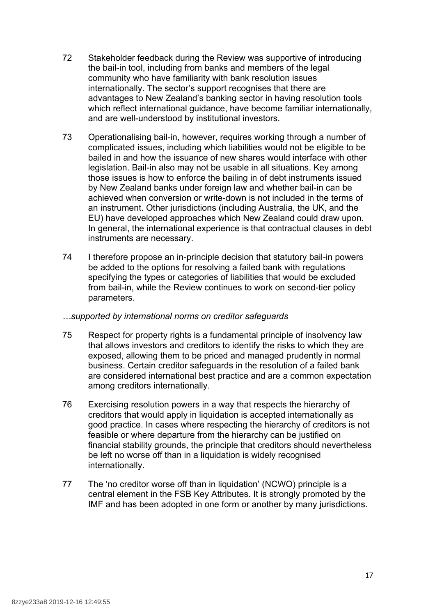- 72 Stakeholder feedback during the Review was supportive of introducing the bail-in tool, including from banks and members of the legal community who have familiarity with bank resolution issues internationally. The sector's support recognises that there are advantages to New Zealand's banking sector in having resolution tools which reflect international guidance, have become familiar internationally, and are well-understood by institutional investors.
- 73 Operationalising bail-in, however, requires working through a number of complicated issues, including which liabilities would not be eligible to be bailed in and how the issuance of new shares would interface with other legislation. Bail-in also may not be usable in all situations. Key among those issues is how to enforce the bailing in of debt instruments issued by New Zealand banks under foreign law and whether bail-in can be achieved when conversion or write-down is not included in the terms of an instrument. Other jurisdictions (including Australia, the UK, and the EU) have developed approaches which New Zealand could draw upon. In general, the international experience is that contractual clauses in debt instruments are necessary.
- 74 I therefore propose an in-principle decision that statutory bail-in powers be added to the options for resolving a failed bank with regulations specifying the types or categories of liabilities that would be excluded from bail-in, while the Review continues to work on second-tier policy parameters.

#### *…supported by international norms on creditor safeguards*

- 75 Respect for property rights is a fundamental principle of insolvency law that allows investors and creditors to identify the risks to which they are exposed, allowing them to be priced and managed prudently in normal business. Certain creditor safeguards in the resolution of a failed bank are considered international best practice and are a common expectation among creditors internationally.
- 76 Exercising resolution powers in a way that respects the hierarchy of creditors that would apply in liquidation is accepted internationally as good practice. In cases where respecting the hierarchy of creditors is not feasible or where departure from the hierarchy can be justified on financial stability grounds, the principle that creditors should nevertheless be left no worse off than in a liquidation is widely recognised internationally.
- 77 The 'no creditor worse off than in liquidation' (NCWO) principle is a central element in the FSB Key Attributes. It is strongly promoted by the IMF and has been adopted in one form or another by many jurisdictions.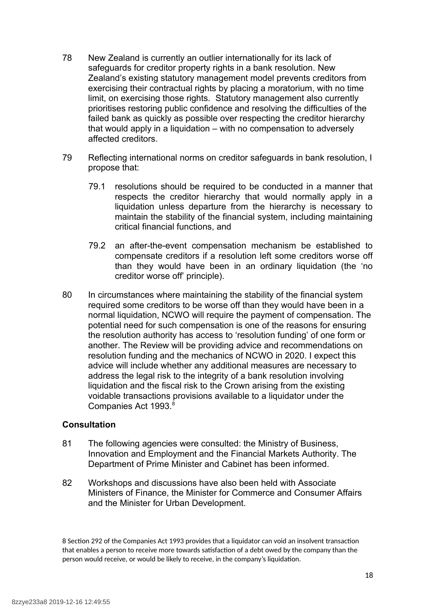- 78 New Zealand is currently an outlier internationally for its lack of safeguards for creditor property rights in a bank resolution. New Zealand's existing statutory management model prevents creditors from exercising their contractual rights by placing a moratorium, with no time limit, on exercising those rights. Statutory management also currently prioritises restoring public confidence and resolving the difficulties of the failed bank as quickly as possible over respecting the creditor hierarchy that would apply in a liquidation – with no compensation to adversely affected creditors.
- 79 Reflecting international norms on creditor safeguards in bank resolution, I propose that:
	- 79.1 resolutions should be required to be conducted in a manner that respects the creditor hierarchy that would normally apply in a liquidation unless departure from the hierarchy is necessary to maintain the stability of the financial system, including maintaining critical financial functions, and
	- 79.2 an after-the-event compensation mechanism be established to compensate creditors if a resolution left some creditors worse off than they would have been in an ordinary liquidation (the 'no creditor worse off' principle).
- 80 In circumstances where maintaining the stability of the financial system required some creditors to be worse off than they would have been in a normal liquidation, NCWO will require the payment of compensation. The potential need for such compensation is one of the reasons for ensuring the resolution authority has access to 'resolution funding' of one form or another. The Review will be providing advice and recommendations on resolution funding and the mechanics of NCWO in 2020. I expect this advice will include whether any additional measures are necessary to address the legal risk to the integrity of a bank resolution involving liquidation and the fiscal risk to the Crown arising from the existing voidable transactions provisions available to a liquidator under the Companies Act 1993.<sup>[8](#page-18-0)</sup>

# **Consultation**

- 81 The following agencies were consulted: the Ministry of Business, Innovation and Employment and the Financial Markets Authority. The Department of Prime Minister and Cabinet has been informed.
- 82 Workshops and discussions have also been held with Associate Ministers of Finance, the Minister for Commerce and Consumer Affairs and the Minister for Urban Development.

<span id="page-18-0"></span><sup>8</sup> Section 292 of the Companies Act 1993 provides that a liquidator can void an insolvent transaction that enables a person to receive more towards satisfaction of a debt owed by the company than the person would receive, or would be likely to receive, in the company's liquidation.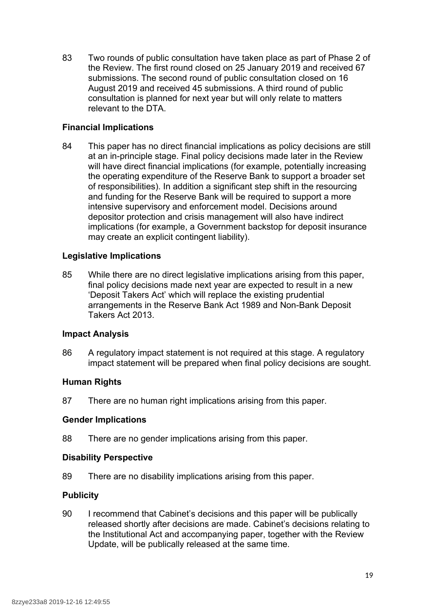83 Two rounds of public consultation have taken place as part of Phase 2 of the Review. The first round closed on 25 January 2019 and received 67 submissions. The second round of public consultation closed on 16 August 2019 and received 45 submissions. A third round of public consultation is planned for next year but will only relate to matters relevant to the DTA.

# **Financial Implications**

84 This paper has no direct financial implications as policy decisions are still at an in-principle stage. Final policy decisions made later in the Review will have direct financial implications (for example, potentially increasing the operating expenditure of the Reserve Bank to support a broader set of responsibilities). In addition a significant step shift in the resourcing and funding for the Reserve Bank will be required to support a more intensive supervisory and enforcement model. Decisions around depositor protection and crisis management will also have indirect implications (for example, a Government backstop for deposit insurance may create an explicit contingent liability).

# **Legislative Implications**

85 While there are no direct legislative implications arising from this paper, final policy decisions made next year are expected to result in a new 'Deposit Takers Act' which will replace the existing prudential arrangements in the Reserve Bank Act 1989 and Non-Bank Deposit Takers Act 2013.

# **Impact Analysis**

86 A regulatory impact statement is not required at this stage. A regulatory impact statement will be prepared when final policy decisions are sought.

#### **Human Rights**

87 There are no human right implications arising from this paper.

#### **Gender Implications**

88 There are no gender implications arising from this paper.

# **Disability Perspective**

89 There are no disability implications arising from this paper.

# **Publicity**

90 I recommend that Cabinet's decisions and this paper will be publically released shortly after decisions are made. Cabinet's decisions relating to the Institutional Act and accompanying paper, together with the Review Update, will be publically released at the same time.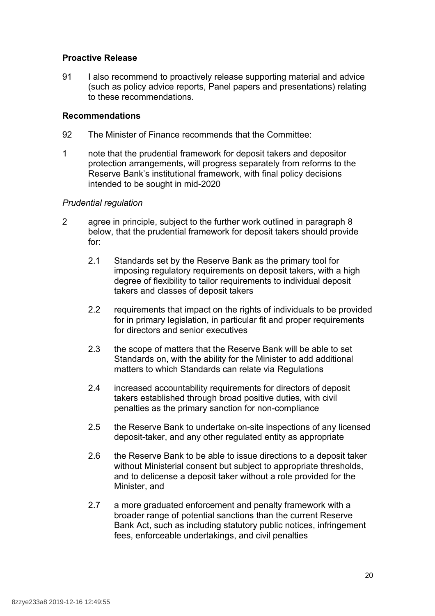#### **Proactive Release**

91 I also recommend to proactively release supporting material and advice (such as policy advice reports, Panel papers and presentations) relating to these recommendations.

# **Recommendations**

- 92 The Minister of Finance recommends that the Committee:
- 1 note that the prudential framework for deposit takers and depositor protection arrangements, will progress separately from reforms to the Reserve Bank's institutional framework, with final policy decisions intended to be sought in mid-2020

#### *Prudential regulation*

- 2 agree in principle, subject to the further work outlined in paragraph 8 below, that the prudential framework for deposit takers should provide for:
	- 2.1 Standards set by the Reserve Bank as the primary tool for imposing regulatory requirements on deposit takers, with a high degree of flexibility to tailor requirements to individual deposit takers and classes of deposit takers
	- 2.2 requirements that impact on the rights of individuals to be provided for in primary legislation, in particular fit and proper requirements for directors and senior executives
	- 2.3 the scope of matters that the Reserve Bank will be able to set Standards on, with the ability for the Minister to add additional matters to which Standards can relate via Regulations
	- 2.4 increased accountability requirements for directors of deposit takers established through broad positive duties, with civil penalties as the primary sanction for non-compliance
	- 2.5 the Reserve Bank to undertake on-site inspections of any licensed deposit-taker, and any other regulated entity as appropriate
	- 2.6 the Reserve Bank to be able to issue directions to a deposit taker without Ministerial consent but subject to appropriate thresholds, and to delicense a deposit taker without a role provided for the Minister, and
	- 2.7 a more graduated enforcement and penalty framework with a broader range of potential sanctions than the current Reserve Bank Act, such as including statutory public notices, infringement fees, enforceable undertakings, and civil penalties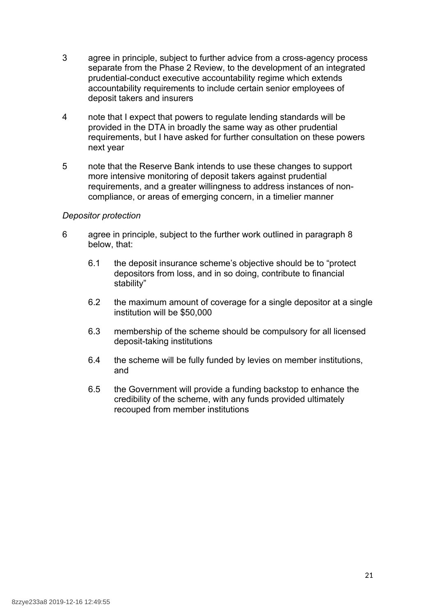- 3 agree in principle, subject to further advice from a cross-agency process separate from the Phase 2 Review, to the development of an integrated prudential-conduct executive accountability regime which extends accountability requirements to include certain senior employees of deposit takers and insurers
- 4 note that I expect that powers to regulate lending standards will be provided in the DTA in broadly the same way as other prudential requirements, but I have asked for further consultation on these powers next year
- 5 note that the Reserve Bank intends to use these changes to support more intensive monitoring of deposit takers against prudential requirements, and a greater willingness to address instances of noncompliance, or areas of emerging concern, in a timelier manner

#### *Depositor protection*

- 6 agree in principle, subject to the further work outlined in paragraph 8 below, that:
	- 6.1 the deposit insurance scheme's objective should be to "protect depositors from loss, and in so doing, contribute to financial stability"
	- 6.2 the maximum amount of coverage for a single depositor at a single institution will be \$50,000
	- 6.3 membership of the scheme should be compulsory for all licensed deposit-taking institutions
	- 6.4 the scheme will be fully funded by levies on member institutions, and
	- 6.5 the Government will provide a funding backstop to enhance the credibility of the scheme, with any funds provided ultimately recouped from member institutions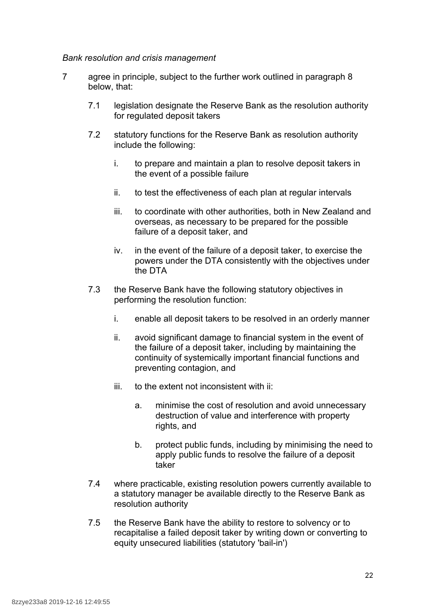#### *Bank resolution and crisis management*

- 7 agree in principle, subject to the further work outlined in paragraph 8 below, that:
	- 7.1 legislation designate the Reserve Bank as the resolution authority for regulated deposit takers
	- 7.2 statutory functions for the Reserve Bank as resolution authority include the following:
		- i. to prepare and maintain a plan to resolve deposit takers in the event of a possible failure
		- ii. to test the effectiveness of each plan at regular intervals
		- iii. to coordinate with other authorities, both in New Zealand and overseas, as necessary to be prepared for the possible failure of a deposit taker, and
		- iv. in the event of the failure of a deposit taker, to exercise the powers under the DTA consistently with the objectives under the DTA
	- 7.3 the Reserve Bank have the following statutory objectives in performing the resolution function:
		- i. enable all deposit takers to be resolved in an orderly manner
		- ii. avoid significant damage to financial system in the event of the failure of a deposit taker, including by maintaining the continuity of systemically important financial functions and preventing contagion, and
		- iii. to the extent not inconsistent with ii:
			- a. minimise the cost of resolution and avoid unnecessary destruction of value and interference with property rights, and
			- b. protect public funds, including by minimising the need to apply public funds to resolve the failure of a deposit taker
	- 7.4 where practicable, existing resolution powers currently available to a statutory manager be available directly to the Reserve Bank as resolution authority
	- 7.5 the Reserve Bank have the ability to restore to solvency or to recapitalise a failed deposit taker by writing down or converting to equity unsecured liabilities (statutory 'bail-in')